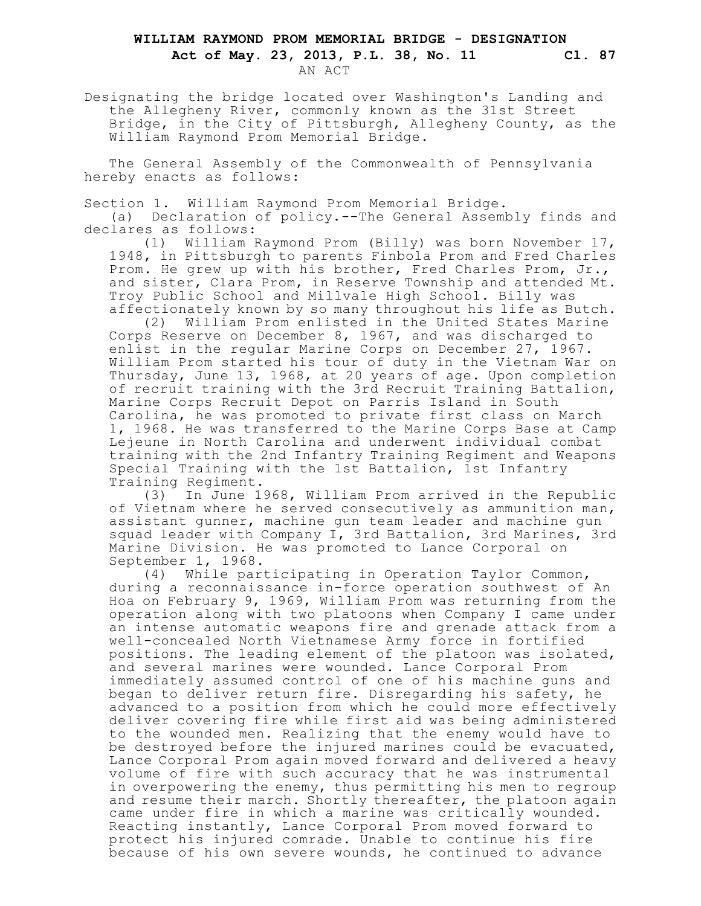## **WILLIAM RAYMOND PROM MEMORIAL BRIDGE - DESIGNATION Act of May. 23, 2013, P.L. 38, No. 11 Cl. 87**

AN ACT

Designating the bridge located over Washington's Landing and the Allegheny River, commonly known as the 31st Street Bridge, in the City of Pittsburgh, Allegheny County, as the William Raymond Prom Memorial Bridge.

The General Assembly of the Commonwealth of Pennsylvania hereby enacts as follows:

Section 1. William Raymond Prom Memorial Bridge.

(a) Declaration of policy.--The General Assembly finds and declares as follows:

(1) William Raymond Prom (Billy) was born November 17, 1948, in Pittsburgh to parents Finbola Prom and Fred Charles Prom. He grew up with his brother, Fred Charles Prom, Jr., and sister, Clara Prom, in Reserve Township and attended Mt. Troy Public School and Millvale High School. Billy was affectionately known by so many throughout his life as Butch.

(2) William Prom enlisted in the United States Marine Corps Reserve on December 8, 1967, and was discharged to enlist in the regular Marine Corps on December 27, 1967. William Prom started his tour of duty in the Vietnam War on Thursday, June 13, 1968, at 20 years of age. Upon completion of recruit training with the 3rd Recruit Training Battalion, Marine Corps Recruit Depot on Parris Island in South Carolina, he was promoted to private first class on March 1, 1968. He was transferred to the Marine Corps Base at Camp Lejeune in North Carolina and underwent individual combat training with the 2nd Infantry Training Regiment and Weapons Special Training with the 1st Battalion, 1st Infantry Training Regiment.

(3) In June 1968, William Prom arrived in the Republic of Vietnam where he served consecutively as ammunition man, assistant gunner, machine gun team leader and machine gun squad leader with Company I, 3rd Battalion, 3rd Marines, 3rd Marine Division. He was promoted to Lance Corporal on September 1, 1968.

(4) While participating in Operation Taylor Common, during a reconnaissance in-force operation southwest of An Hoa on February 9, 1969, William Prom was returning from the operation along with two platoons when Company I came under an intense automatic weapons fire and grenade attack from a well-concealed North Vietnamese Army force in fortified positions. The leading element of the platoon was isolated, and several marines were wounded. Lance Corporal Prom immediately assumed control of one of his machine guns and began to deliver return fire. Disregarding his safety, he advanced to a position from which he could more effectively deliver covering fire while first aid was being administered to the wounded men. Realizing that the enemy would have to be destroyed before the injured marines could be evacuated, Lance Corporal Prom again moved forward and delivered a heavy volume of fire with such accuracy that he was instrumental in overpowering the enemy, thus permitting his men to regroup and resume their march. Shortly thereafter, the platoon again came under fire in which a marine was critically wounded. Reacting instantly, Lance Corporal Prom moved forward to protect his injured comrade. Unable to continue his fire because of his own severe wounds, he continued to advance